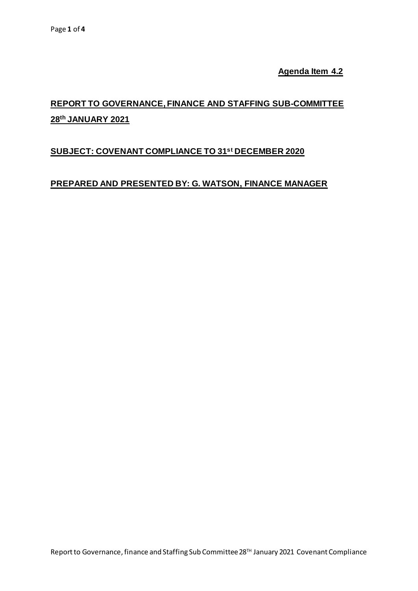**Agenda Item 4.2**

# **REPORT TO GOVERNANCE, FINANCE AND STAFFING SUB-COMMITTEE 28th JANUARY 2021**

# **SUBJECT: COVENANT COMPLIANCE TO 31 st DECEMBER 2020**

# **PREPARED AND PRESENTED BY: G. WATSON, FINANCE MANAGER**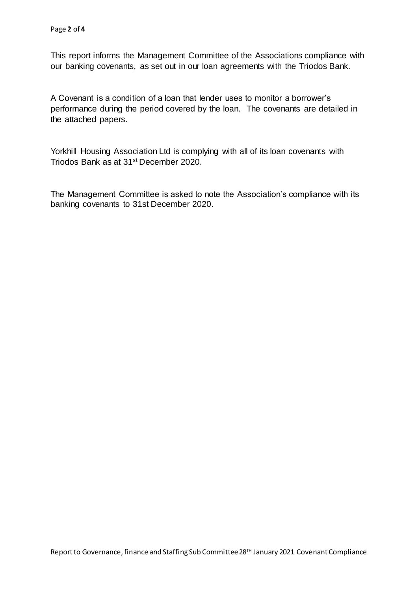This report informs the Management Committee of the Associations compliance with our banking covenants, as set out in our loan agreements with the Triodos Bank.

A Covenant is a condition of a loan that lender uses to monitor a borrower's performance during the period covered by the loan. The covenants are detailed in the attached papers.

Yorkhill Housing Association Ltd is complying with all of its loan covenants with Triodos Bank as at 31st December 2020.

The Management Committee is asked to note the Association's compliance with its banking covenants to 31st December 2020.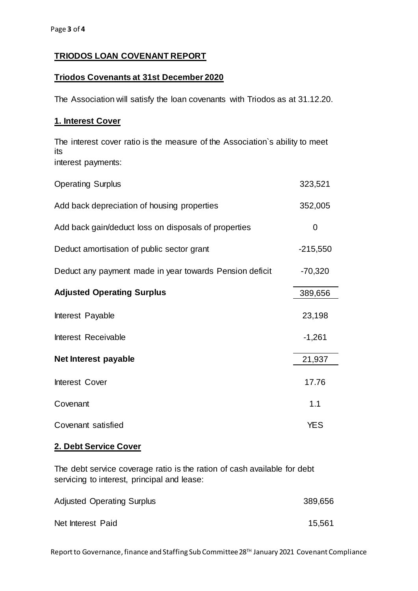### **TRIODOS LOAN COVENANT REPORT**

#### **Triodos Covenants at 31st December 2020**

The Association will satisfy the loan covenants with Triodos as at 31.12.20.

#### **1. Interest Cover**

The interest cover ratio is the measure of the Association`s ability to meet its interest payments:

| <b>Operating Surplus</b>                                | 323,521    |
|---------------------------------------------------------|------------|
| Add back depreciation of housing properties             | 352,005    |
| Add back gain/deduct loss on disposals of properties    | 0          |
| Deduct amortisation of public sector grant              | $-215,550$ |
| Deduct any payment made in year towards Pension deficit | $-70,320$  |
| <b>Adjusted Operating Surplus</b>                       | 389,656    |
| Interest Payable                                        | 23,198     |
| Interest Receivable                                     | $-1,261$   |
| Net Interest payable                                    | 21,937     |
| Interest Cover                                          | 17.76      |
| Covenant                                                | 1.1        |
| Covenant satisfied                                      | <b>YES</b> |

#### **2. Debt Service Cover**

The debt service coverage ratio is the ration of cash available for debt servicing to interest, principal and lease:

| <b>Adjusted Operating Surplus</b> | 389,656 |  |
|-----------------------------------|---------|--|
| Net Interest Paid                 | 15,561  |  |